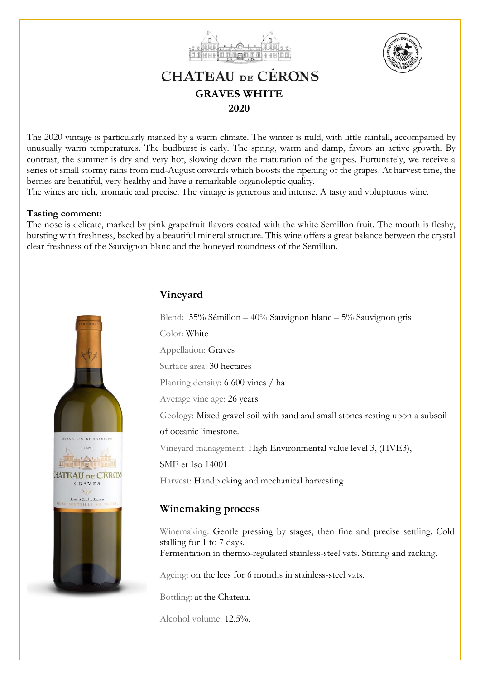



# **CHATEAU DE CÉRONS GRAVES WHITE 2020**

The 2020 vintage is particularly marked by a warm climate. The winter is mild, with little rainfall, accompanied by unusually warm temperatures. The budburst is early. The spring, warm and damp, favors an active growth. By contrast, the summer is dry and very hot, slowing down the maturation of the grapes. Fortunately, we receive a series of small stormy rains from mid-August onwards which boosts the ripening of the grapes. At harvest time, the berries are beautiful, very healthy and have a remarkable organoleptic quality.

The wines are rich, aromatic and precise. The vintage is generous and intense. A tasty and voluptuous wine.

### **Tasting comment:**

The nose is delicate, marked by pink grapefruit flavors coated with the white Semillon fruit. The mouth is fleshy, bursting with freshness, backed by a beautiful mineral structure. This wine offers a great balance between the crystal clear freshness of the Sauvignon blanc and the honeyed roundness of the Semillon.



# **Vineyard**

Blend: 55% Sémillon – 40% Sauvignon blanc – 5% Sauvignon gris Color: White Appellation: Graves Surface area: 30 hectares Planting density: 6 600 vines / ha Average vine age: 26 years Geology: Mixed gravel soil with sand and small stones resting upon a subsoil of oceanic limestone. Vineyard management: High Environmental value level 3, (HVE3), SME et Iso 14001 Harvest: Handpicking and mechanical harvesting

# **Winemaking process**

Winemaking: Gentle pressing by stages, then fine and precise settling. Cold stalling for 1 to 7 days. Fermentation in thermo-regulated stainless-steel vats. Stirring and racking.

Ageing: on the lees for 6 months in stainless-steel vats.

Bottling: at the Chateau.

Alcohol volume: 12.5%.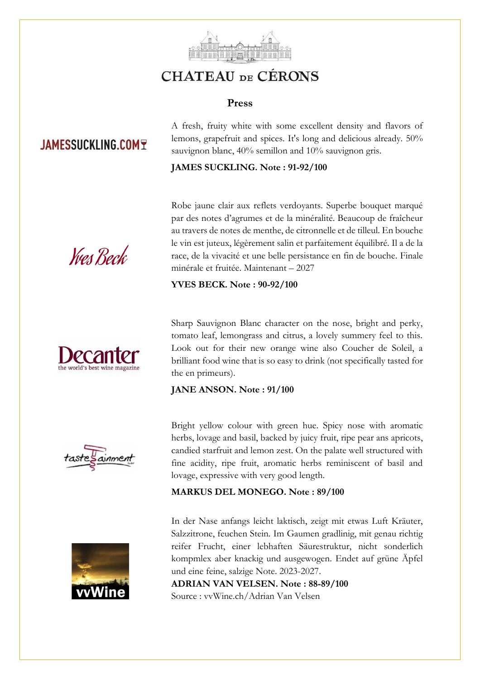

# **CHATEAU DE CÉRONS**

## **Press**

# **JAMESSUCKLING.COMT**

A fresh, fruity white with some excellent density and flavors of lemons, grapefruit and spices. It's long and delicious already. 50% sauvignon blanc, 40% semillon and 10% sauvignon gris.

## **JAMES SUCKLING. Note : 91-92/100**

Robe jaune clair aux reflets verdoyants. Superbe bouquet marqué par des notes d'agrumes et de la minéralité. Beaucoup de fraîcheur au travers de notes de menthe, de citronnelle et de tilleul. En bouche le vin est juteux, légèrement salin et parfaitement équilibré. Il a de la race, de la vivacité et une belle persistance en fin de bouche. Finale minérale et fruitée. Maintenant – 2027

### **YVES BECK. Note : 90-92/100**



Yves Beck

Sharp Sauvignon Blanc character on the nose, bright and perky, tomato leaf, lemongrass and citrus, a lovely summery feel to this. Look out for their new orange wine also Coucher de Soleil, a brilliant food wine that is so easy to drink (not specifically tasted for the en primeurs).

### **JANE ANSON. Note : 91/100**





Bright yellow colour with green hue. Spicy nose with aromatic herbs, lovage and basil, backed by juicy fruit, ripe pear ans apricots, candied starfruit and lemon zest. On the palate well structured with fine acidity, ripe fruit, aromatic herbs reminiscent of basil and lovage, expressive with very good length.

### **MARKUS DEL MONEGO. Note : 89/100**

In der Nase anfangs leicht laktisch, zeigt mit etwas Luft Kräuter, Salzzitrone, feuchen Stein. Im Gaumen gradlinig, mit genau richtig reifer Frucht, einer lebhaften Säurestruktur, nicht sonderlich kompmlex aber knackig und ausgewogen. Endet auf grüne Äpfel und eine feine, salzige Note. 2023-2027.

**ADRIAN VAN VELSEN. Note : 88-89/100** Source : vvWine.ch/Adrian Van Velsen